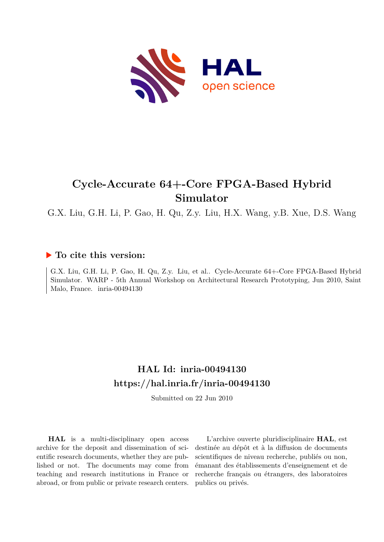

# **Cycle-Accurate 64+-Core FPGA-Based Hybrid Simulator**

G.X. Liu, G.H. Li, P. Gao, H. Qu, Z.y. Liu, H.X. Wang, y.B. Xue, D.S. Wang

# **To cite this version:**

G.X. Liu, G.H. Li, P. Gao, H. Qu, Z.y. Liu, et al.. Cycle-Accurate 64+-Core FPGA-Based Hybrid Simulator. WARP - 5th Annual Workshop on Architectural Research Prototyping, Jun 2010, Saint Malo, France. inria-00494130

# **HAL Id: inria-00494130 <https://hal.inria.fr/inria-00494130>**

Submitted on 22 Jun 2010

**HAL** is a multi-disciplinary open access archive for the deposit and dissemination of scientific research documents, whether they are published or not. The documents may come from teaching and research institutions in France or abroad, or from public or private research centers.

L'archive ouverte pluridisciplinaire **HAL**, est destinée au dépôt et à la diffusion de documents scientifiques de niveau recherche, publiés ou non, émanant des établissements d'enseignement et de recherche français ou étrangers, des laboratoires publics ou privés.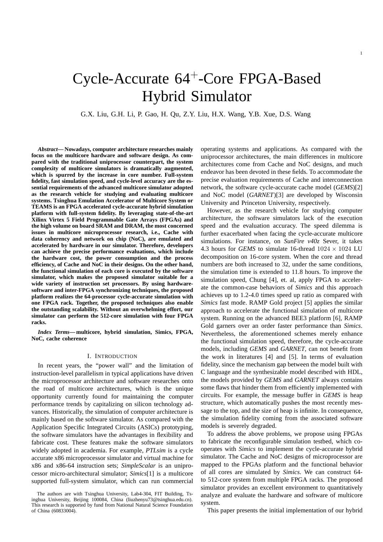G.X. Liu, G.H. Li, P. Gao, H. Qu, Z.Y. Liu, H.X. Wang, Y.B. Xue, D.S. Wang

*Abstract***— Nowadays, computer architecture researches mainly focus on the multicore hardware and software design. As compared with the traditional uniprocessor counterpart, the system complexity of multicore simulators is dramatically augmented, which is spurred by the increase in core number. Full-system fidelity, fast simulation speed, and cycle-level accuracy are the essential requirements of the advanced multicore simulator adopted as the research vehicle for studying and evaluating multicore systems. Tsinghua Emulation Accelerator of Multicore System or TEAMS is an FPGA accelerated cycle-accurate hybrid simulation platform with full-system fidelity. By leveraging state-of-the-art Xilinx Virtex 5 Field Programmable Gate Arrays (FPGAs) and the high volume on board SRAM and DRAM, the most concerned issues in multicore microprocessor research, i.e., Cache with data coherency and network on chip (NoC), are emulated and accelerated by hardware in our simulator. Therefore, developers can achieve the precise performance evaluations, which include the hardware cost, the power consumption and the process efficiency, of Cache and NoC in their designs. On the other hand, the functional simulation of each core is executed by the software simulator, which makes the proposed simulator suitable for a wide variety of instruction set processors. By using hardwaresoftware and inter-FPGA synchronizing techniques, the proposed platform realizes the 64-processor cycle-accurate simulation with one FPGA rack. Together, the proposed techniques also enable the outstanding scalability. Without an overwhelming effort, our simulator can perform the 512-core simulation with four FPGA racks.**

*Index Terms***— multicore, hybrid simulation, Simics, FPGA, NoC, cache coherence**

# I. INTRODUCTION

In recent years, the "power wall" and the limitation of instruction-level parallelism in typical applications have driven the microprocessor architecture and software researches onto the road of multicore architectures, which is the unique opportunity currently found for maintaining the computer performance trends by capitalizing on silicon technology advances. Historically, the simulation of computer architecture is mainly based on the software simulator. As compared with the Application Specific Integrated Circuits (ASICs) prototyping, the software simulators have the advantages in flexibility and fabricate cost. These features make the software simulators widely adopted in academia. For example, *PTLsim* is a cycle accurate x86 microprocessor simulator and virtual machine for x86 and x86-64 instruction sets; *SimpleScalar* is an uniprocessor micro-architectural simulator; *Simics*[1] is a multicore supported full-system simulator, which can run commercial operating systems and applications. As compared with the uniprocessor architectures, the main differences in multicore architectures come from Cache and NoC designs, and much endeavor has been devoted in these fields. To accommodate the precise evaluation requirements of Cache and interconnection network, the software cycle-accurate cache model (*GEMS*)[2] and NoC model (*GARNET*)[3] are developed by Wisconsin University and Princeton University, respectively.

However, as the research vehicle for studying computer architecture, the software simulators lack of the execution speed and the evaluation accuracy. The speed dilemma is further exacerbated when facing the cycle-accurate multicore simulations. For instance, on *SunFire v40z* Sever, it takes 4.3 hours for *GEMS* to simulate 16-thread  $1024 \times 1024$  LU decomposition on 16-core system. When the core and thread numbers are both increased to 32, under the same conditions, the simulation time is extended to 11.8 hours. To improve the simulation speed, Chung [4], et. al, apply FPGA to accelerate the common-case behaviors of *Simics* and this approach achieves up to 1.2-4.0 times speed up ratio as compared with *Simics* fast mode. RAMP Gold project [5] applies the similar approach to accelerate the functional simulation of multicore system. Running on the advanced BEE3 platform [6], RAMP Gold garners over an order faster performance than *Simics*. Nevertheless, the aforementioned schemes merely enhance the functional simulation speed, therefore, the cycle-accurate models, including *GEMS* and *GARNET*, can not benefit from the work in literatures [4] and [5]. In terms of evaluation fidelity, since the mechanism gap between the model built with C language and the synthesizable model described with HDL, the models provided by *GEMS* and *GARNET* always contains some flaws that hinder them from efficiently implemented with circuits. For example, the message buffer in *GEMS* is heap structure, which automatically pushes the most recently message to the top, and the size of heap is infinite. In consequence, the simulation fidelity coming from the associated software models is severely degraded.

To address the above problems, we propose using FPGAs to fabricate the reconfigurable simulation testbed, which cooperates with *Simics* to implement the cycle-accurate hybrid simulator. The Cache and NoC designs of microprocessor are mapped to the FPGAs platform and the functional behavior of all cores are simulated by *Simics*. We can construct 64 to 512-core system from multiple FPGA racks. The proposed simulator provides an excellent environment to quantitatively analyze and evaluate the hardware and software of multicore system.

This paper presents the initial implementation of our hybrid

The authors are with Tsinghua University, Lab4-304, FIT Building, Tsinghua University, Beijing 100084, China (liuzhenyu73@tsinghua.edu.cn). This research is supported by fund from National Natural Science Foundation of China (60833004).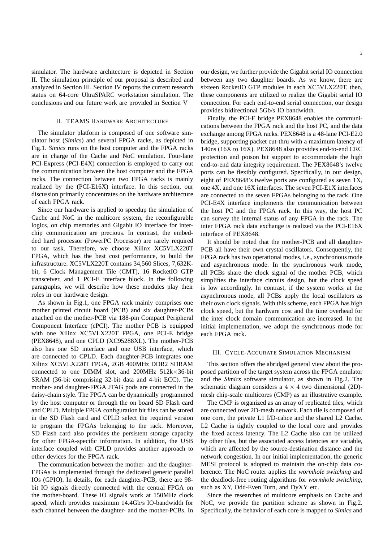simulator. The hardware architecture is depicted in Section II. The simulation principle of our proposal is described and analyzed in Section III. Section IV reports the current research status on 64-core UltraSPARC workstation simulation. The conclusions and our future work are provided in Section V

#### II. TEAMS HARDWARE ARCHITECTURE

The simulator platform is composed of one software simulator host (*Simics*) and several FPGA racks, as depicted in Fig.1. *Simics* runs on the host computer and the FPGA racks are in charge of the Cache and NoC emulation. Four-lane PCI-Express (PCI-E4X) connection is employed to carry out the communication between the host computer and the FPGA racks. The connection between two FPGA racks is mainly realized by the (PCI-E16X) interface. In this section, our discussion primarily concentrates on the hardware architecture of each FPGA rack.

Since our hardware is applied to speedup the simulation of Cache and NoC in the multicore system, the reconfigurable logics, on chip memories and Gigabit IO interface for interchip communication are precious. In contrast, the embedded hard processor (PowerPC Processor) are rarely required to our task. Therefore, we choose Xilinx XC5VLX220T FPGA, which has the best cost performance, to build the infrastructure. XC5VLX220T contains 34,560 Slices, 7,632Kbit, 6 Clock Management Tile (CMT), 16 RocketIO GTP transceiver, and 1 PCI-E interface block. In the following paragraphs, we will describe how these modules play their roles in our hardware design.

As shown in Fig.1, one FPGA rack mainly comprises one mother printed circuit board (PCB) and six daughter-PCBs attached on the mother-PCB via 188-pin Compact Peripheral Component Interface (cPCI). The mother PCB is equipped with one Xilinx XC5VLX220T FPGA, one PCI-E bridge (PEX8648), and one CPLD (XC95288XL). The mother-PCB also has one SD interface and one USB interface, which are connected to CPLD. Each daughter-PCB integrates one Xilinx XC5VLX220T FPGA, 2GB 400MHz DDR2 SDRAM connected to one DIMM slot, and 200MHz  $512k \times 36$ -bit SRAM (36-bit comprising 32-bit data and 4-bit ECC). The mother- and daughter-FPGA JTAG pods are connected in the daisy-chain style. The FPGA can be dynamically programmed by the host computer or through the on board SD Flash card and CPLD. Multiple FPGA configuration bit files can be stored in the SD Flash card and CPLD select the required version to program the FPGAs belonging to the rack. Moreover, SD Flash card also provides the persistent storage capacity for other FPGA-specific information. In addition, the USB interface coupled with CPLD provides another approach to other devices for the FPGA rack.

The communication between the mother- and the daughter-FPGAs is implemented through the dedicated generic parallel IOs (GPIO). In details, for each daughter-PCB, there are 98 bit IO signals directly connected with the central FPGA on the mother-board. These IO signals work at 150MHz clock speed, which provides maximum 14.4Gb/s IO-bandwidth for each channel between the daughter- and the mother-PCBs. In

our design, we further provide the Gigabit serial IO connection between any two daughter boards. As we know, there are sixteen RocketIO GTP modules in each XC5VLX220T, then, these components are utilized to realize the Gigabit serial IO connection. For each end-to-end serial connection, our design provides bidirectional 5Gb/s IO bandwidth.

Finally, the PCI-E bridge PEX8648 enables the communications between the FPGA rack and the host PC, and the data exchange among FPGA racks. PEX8648 is a 48-lane PCI-E2.0 bridge, supporting packet cut-thru with a maximum latency of 140ns (16X to 16X). PEX8648 also provides end-to-end CRC protection and poison bit support to accommodate the high end-to-end data integrity requirement. The PEX8648's twelve ports can be flexibly configured. Specifically, in our design, eight of PEX8648's twelve ports are configured as seven 1X, one 4X, and one 16X interfaces. The seven PCI-E1X interfaces are connected to the seven FPGAs belonging to the rack. One PCI-E4X interface implements the communication between the host PC and the FPGA rack. In this way, the host PC can survey the internal status of any FPGA in the rack. The inter FPGA rack data exchange is realized via the PCI-E16X interface of PEX8648.

It should be noted that the mother-PCB and all daughter-PCB all have their own crystal oscillators. Consequently, the FPGA rack has two operational modes, i.e., synchronous mode and asynchronous mode. In the synchronous work mode, all PCBs share the clock signal of the mother PCB, which simplifies the interface circuits design, but the clock speed is low accordingly. In contrast, if the system works at the asynchronous mode, all PCBs apply the local oscillators as their own clock signals. With this scheme, each FPGA has high clock speed, but the hardware cost and the time overhead for the inter clock domain communication are increased. In the initial implementation, we adopt the synchronous mode for each FPGA rack.

## III. CYCLE-ACCURATE SIMULATION MECHANISM

This section offers the abridged general view about the proposed partition of the target system across the FPGA emulator and the *Simics* software simulator, as shown in Fig.2. The schematic diagram considers a  $4 \times 4$  two dimensional (2D)mesh chip-scale multicores (CMP) as an illustrative example.

The CMP is organized as an array of replicated tiles, which are connected over 2D-mesh network. Each tile is composed of one core, the private L1 I/D-cahce and the shared L2 Cache. L2 Cache is tightly coupled to the local core and provides the fixed access latency. The L2 Cache also can be utilized by other tiles, but the associated access latencies are variable, which are affected by the source-destination distance and the network congestion. In our initial implementation, the generic MESI protocol is adopted to maintain the on-chip data coherence. The NoC router applies the *wormhole switching* and the deadlock-free routing algorithms for *wormhole switching*, such as XY, Odd-Even Turn, and DyXY etc.

Since the researches of multicore emphasis on Cache and NoC, we provide the partition scheme as shown in Fig.2. Specifically, the behavior of each core is mapped to *Simics* and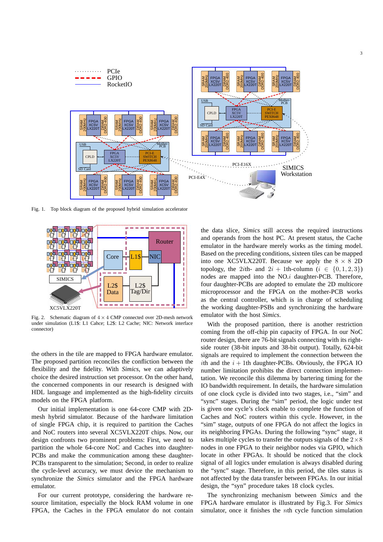

Fig. 1. Top block diagram of the proposed hybrid simulation accelerator



Fig. 2. Schematic diagram of  $4 \times 4$  CMP connected over 2D-mesh network under simulation (L1\$: L1 Cahce; L2\$: L2 Cache; NIC: Network interface connector)

the others in the tile are mapped to FPGA hardware emulator. The proposed partition reconciles the confliction between the flexibility and the fidelity. With *Simics*, we can adaptively choice the desired instruction set processor. On the other hand, the concerned components in our research is designed with HDL language and implemented as the high-fidelity circuits models on the FPGA platform.

Our initial implementation is one 64-core CMP with 2Dmesh hybrid simulator. Because of the hardware limitation of single FPGA chip, it is required to partition the Caches and NoC routers into several XC5VLX220T chips. Now, our design confronts two prominent problems: First, we need to partition the whole 64-core NoC and Caches into daughter-PCBs and make the communication among these daughter-PCBs transparent to the simulation; Second, in order to realize the cycle-level accuracy, we must device the mechanism to synchronize the *Simics* simulator and the FPGA hardware emulator.

For our current prototype, considering the hardware resource limitation, especially the block RAM volume in one FPGA, the Caches in the FPGA emulator do not contain the data slice, *Simics* still access the required instructions and operands from the host PC. At present status, the Cache emulator in the hardware merely works as the timing model. Based on the preceding conditions, sixteen tiles can be mapped into one XC5VLX220T. Because we apply the  $8 \times 8$  2D topology, the 2ith- and  $2i + 1$ th-column ( $i \in \{0, 1, 2, 3\}$ ) nodes are mapped into the NO.i daughter-PCB. Therefore, four daughter-PCBs are adopted to emulate the 2D multicore microprocessor and the FPGA on the mother-PCB works as the central controller, which is in charge of scheduling the working daughter-PSBs and synchronizing the hardware emulator with the host *Simics*.

With the proposed partition, there is another restriction coming from the off-chip pin capacity of FPGA. In our NoC router design, there are 76-bit signals connecting with its rightside router (38-bit inputs and 38-bit output). Totally, 624-bit signals are required to implement the connection between the ith and the  $i + 1$ th daughter-PCBs. Obviously, the FPGA IO number limitation prohibits the direct connection implementation. We reconcile this dilemma by bartering timing for the IO bandwidth requirement. In details, the hardware simulation of one clock cycle is divided into two stages, i.e., "sim" and "sync" stages. During the "sim" period, the logic under test is given one cycle's clock enable to complete the function of Caches and NoC routers within this cycle. However, in the "sim" stage, outputs of one FPGA do not affect the logics in its neighboring FPGAs. During the following "sync" stage, it takes multiple cycles to transfer the outputs signals of the  $2\times8$ nodes in one FPGA to their neighbor nodes via GPIO, which locate in other FPGAs. It should be noticed that the clock signal of all logics under emulation is always disabled during the "sync" stage. Therefore, in this period, the tiles status is not affected by the data transfer between FPGAs. In our initial design, the "syn" procedure takes 18 clock cycles.

The synchronizing mechanism between *Simics* and the FPGA hardware emulator is illustrated by Fig.3. For *Simics* simulator, once it finishes the nth cycle function simulation